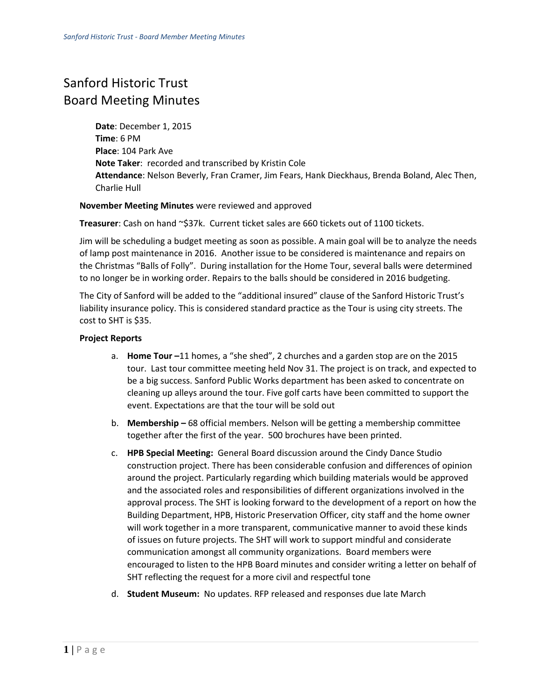## Sanford Historic Trust Board Meeting Minutes

**Date**: December 1, 2015 **Time**: 6 PM **Place**: 104 Park Ave **Note Taker**: recorded and transcribed by Kristin Cole **Attendance**: Nelson Beverly, Fran Cramer, Jim Fears, Hank Dieckhaus, Brenda Boland, Alec Then, Charlie Hull

## **November Meeting Minutes** were reviewed and approved

**Treasurer**: Cash on hand ~\$37k. Current ticket sales are 660 tickets out of 1100 tickets.

Jim will be scheduling a budget meeting as soon as possible. A main goal will be to analyze the needs of lamp post maintenance in 2016. Another issue to be considered is maintenance and repairs on the Christmas "Balls of Folly". During installation for the Home Tour, several balls were determined to no longer be in working order. Repairs to the balls should be considered in 2016 budgeting.

The City of Sanford will be added to the "additional insured" clause of the Sanford Historic Trust's liability insurance policy. This is considered standard practice as the Tour is using city streets. The cost to SHT is \$35.

## **Project Reports**

- a. **Home Tour –**11 homes, a "she shed", 2 churches and a garden stop are on the 2015 tour. Last tour committee meeting held Nov 31. The project is on track, and expected to be a big success. Sanford Public Works department has been asked to concentrate on cleaning up alleys around the tour. Five golf carts have been committed to support the event. Expectations are that the tour will be sold out
- b. **Membership –** 68 official members. Nelson will be getting a membership committee together after the first of the year. 500 brochures have been printed.
- c. **HPB Special Meeting:** General Board discussion around the Cindy Dance Studio construction project. There has been considerable confusion and differences of opinion around the project. Particularly regarding which building materials would be approved and the associated roles and responsibilities of different organizations involved in the approval process. The SHT is looking forward to the development of a report on how the Building Department, HPB, Historic Preservation Officer, city staff and the home owner will work together in a more transparent, communicative manner to avoid these kinds of issues on future projects. The SHT will work to support mindful and considerate communication amongst all community organizations. Board members were encouraged to listen to the HPB Board minutes and consider writing a letter on behalf of SHT reflecting the request for a more civil and respectful tone
- d. **Student Museum:** No updates. RFP released and responses due late March